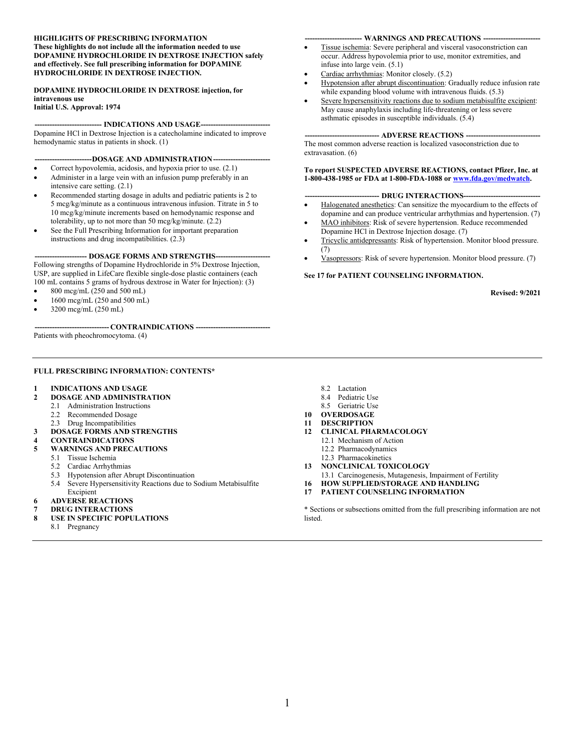#### **HIGHLIGHTS OF PRESCRIBING INFORMATION These highlights do not include all the information needed to use DOPAMINE HYDROCHLORIDE IN DEXTROSE INJECTION safely and effectively. See full prescribing information for DOPAMINE HYDROCHLORIDE IN DEXTROSE INJECTION.**

#### **DOPAMINE HYDROCHLORIDE IN DEXTROSE injection, for intravenous use**

**Initial U.S. Approval: 1974**

#### **--------------------------- INDICATIONS AND USAGE----------------------------**

Dopamine HCl in Dextrose Injection is a catecholamine indicated to improve hemodynamic status in patients in shock. (1)

--DOSAGE AND ADMINISTRATION---

- Correct hypovolemia, acidosis, and hypoxia prior to use. (2.1)
- Administer in a large vein with an infusion pump preferably in an intensive care setting. (2.1)
- Recommended starting dosage in adults and pediatric patients is 2 to 5 mcg/kg/minute as a continuous intravenous infusion. Titrate in 5 to 10 mcg/kg/minute increments based on hemodynamic response and tolerability, up to not more than 50 mcg/kg/minute. (2.2)
- See the Full Prescribing Information for important preparation instructions and drug incompatibilities. (2.3)

-- **DOSAGE FORMS AND STRENGTHS---**

Following strengths of Dopamine Hydrochloride in 5% Dextrose Injection, USP, are supplied in LifeCare flexible single-dose plastic containers (each 100 mL contains 5 grams of hydrous dextrose in Water for Injection): (3)

- $\bullet$  800 mcg/mL (250 and 500 mL)
- 1600 mcg/mL (250 and 500 mL)
- 3200 mcg/mL (250 mL)

**------------------------------ CONTRAINDICATIONS ------------------------------**

Patients with pheochromocytoma. (4)

#### **FULL PRESCRIBING INFORMATION: CONTENTS\***

#### **1 INDICATIONS AND USAGE**

- **2 DOSAGE AND ADMINISTRATION**
	- 2.1 Administration Instructions
	- 2.2 Recommended Dosage
	- 2.3 Drug Incompatibilities
- **3 DOSAGE FORMS AND STRENGTHS**
- **4 CONTRAINDICATIONS**
- **5 WARNINGS AND PRECAUTIONS**
- 5.1 Tissue Ischemia
	- 5.2 Cardiac Arrhythmias
	- 5.3 Hypotension after Abrupt Discontinuation
	- 5.4 Severe Hypersensitivity Reactions due to Sodium Metabisulfite Excipient
- **6 ADVERSE REACTIONS**
- **7 DRUG INTERACTIONS**
- **8 USE IN SPECIFIC POPULATIONS**
	- 8.1 Pregnancy
- 8.2 Lactation
- 8.4 Pediatric Use
- 8.5 Geriatric Use
- **10 OVERDOSAGE**
- **11 DESCRIPTION**
- **12 CLINICAL PHARMACOLOGY**
	- 12.1 Mechanism of Action
	- 12.2 Pharmacodynamics
	- 12.3 Pharmacokinetics
- **13 NONCLINICAL TOXICOLOGY**
- 13.1 Carcinogenesis, Mutagenesis, Impairment of Fertility
- **16 HOW SUPPLIED/STORAGE AND HANDLING**
- **17 PATIENT COUNSELING INFORMATION**

\* Sections or subsections omitted from the full prescribing information are not listed.

#### **----------------------- WARNINGS AND PRECAUTIONS -----------------------**

- Tissue ischemia: Severe peripheral and visceral vasoconstriction can occur. Address hypovolemia prior to use, monitor extremities, and infuse into large vein. (5.1)
- Cardiac arrhythmias: Monitor closely. (5.2)
- Hypotension after abrupt discontinuation: Gradually reduce infusion rate while expanding blood volume with intravenous fluids. (5.3)
- Severe hypersensitivity reactions due to sodium metabisulfite excipient: May cause anaphylaxis including life-threatening or less severe asthmatic episodes in susceptible individuals. (5.4)

#### --- **ADVERSE REACTIONS** ---

The most common adverse reaction is localized vasoconstriction due to extravasation. (6)

**To report SUSPECTED ADVERSE REACTIONS, contact Pfizer, Inc. at 1-800-438-1985 or FDA at 1-800-FDA-1088 or [www.fda.gov/medwatch](http://www.fda.gov/medwatch).** 

#### **- DRUG INTERACTIONS-**

- Halogenated anesthetics: Can sensitize the myocardium to the effects of dopamine and can produce ventricular arrhythmias and hypertension. (7)
- MAO inhibitors: Risk of severe hypertension. Reduce recommended Dopamine HCl in Dextrose Injection dosage. (7)
- Tricyclic antidepressants: Risk of hypertension. Monitor blood pressure. (7)
- Vasopressors: Risk of severe hypertension. Monitor blood pressure. (7)

#### **See 17 for PATIENT COUNSELING INFORMATION.**

**Revised: 9/2021**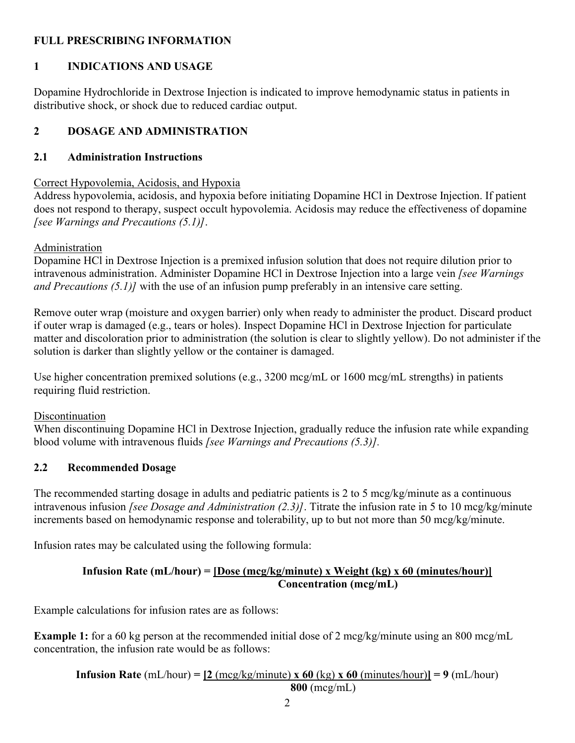### **FULL PRESCRIBING INFORMATION**

## **1 INDICATIONS AND USAGE**

Dopamine Hydrochloride in Dextrose Injection is indicated to improve hemodynamic status in patients in distributive shock, or shock due to reduced cardiac output.

## **2 DOSAGE AND ADMINISTRATION**

## **2.1 Administration Instructions**

#### Correct Hypovolemia, Acidosis, and Hypoxia

Address hypovolemia, acidosis, and hypoxia before initiating Dopamine HCl in Dextrose Injection. If patient does not respond to therapy, suspect occult hypovolemia. Acidosis may reduce the effectiveness of dopamine *[see Warnings and Precautions (5.1)]*.

## Administration

Dopamine HCl in Dextrose Injection is a premixed infusion solution that does not require dilution prior to intravenous administration. Administer Dopamine HCl in Dextrose Injection into a large vein *[see Warnings and Precautions (5.1)]* with the use of an infusion pump preferably in an intensive care setting.

Remove outer wrap (moisture and oxygen barrier) only when ready to administer the product. Discard product if outer wrap is damaged (e.g., tears or holes). Inspect Dopamine HCl in Dextrose Injection for particulate matter and discoloration prior to administration (the solution is clear to slightly yellow). Do not administer if the solution is darker than slightly yellow or the container is damaged.

Use higher concentration premixed solutions (e.g., 3200 mcg/mL or 1600 mcg/mL strengths) in patients requiring fluid restriction.

#### **Discontinuation**

When discontinuing Dopamine HCl in Dextrose Injection, gradually reduce the infusion rate while expanding blood volume with intravenous fluids *[see Warnings and Precautions (5.3)].*

## **2.2 Recommended Dosage**

The recommended starting dosage in adults and pediatric patients is 2 to 5 mcg/kg/minute as a continuous intravenous infusion *[see Dosage and Administration (2.3)]*. Titrate the infusion rate in 5 to 10 mcg/kg/minute increments based on hemodynamic response and tolerability, up to but not more than 50 mcg/kg/minute.

Infusion rates may be calculated using the following formula:

## **Infusion Rate (mL/hour) = [Dose (mcg/kg/minute) x Weight (kg) x 60 (minutes/hour)] Concentration (mcg/mL)**

Example calculations for infusion rates are as follows:

**Example 1:** for a 60 kg person at the recommended initial dose of 2 mcg/kg/minute using an 800 mcg/mL concentration, the infusion rate would be as follows:

**Infusion Rate** (mL/hour) =  $[2 \text{ (mcg/kg/minute)} \times 60 \text{ (kg)} \times 60 \text{ (minutes/hour)} = 9 \text{ (mL/hour)}$ **800** (mcg/mL)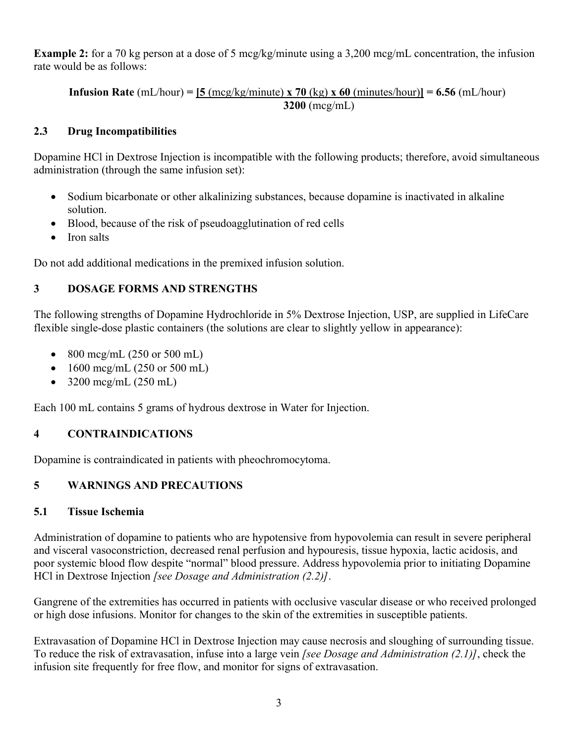**Example 2:** for a 70 kg person at a dose of 5 mcg/kg/minute using a 3,200 mcg/mL concentration, the infusion rate would be as follows:

**Infusion Rate**  $(mL/hour) = 5 \frac{5 \text{ (mcg/kg/minute)} \times 70 \text{ (kg)} \times 60 \text{ (minutes/hour)} = 6.56 \text{ (mL/hour)}$ **3200** (mcg/mL)

## **2.3 Drug Incompatibilities**

Dopamine HCl in Dextrose Injection is incompatible with the following products; therefore, avoid simultaneous administration (through the same infusion set):

- Sodium bicarbonate or other alkalinizing substances, because dopamine is inactivated in alkaline solution.
- Blood, because of the risk of pseudoagglutination of red cells
- Iron salts

Do not add additional medications in the premixed infusion solution.

# **3 DOSAGE FORMS AND STRENGTHS**

The following strengths of Dopamine Hydrochloride in 5% Dextrose Injection, USP, are supplied in LifeCare flexible single-dose plastic containers (the solutions are clear to slightly yellow in appearance):

- 800 mcg/mL  $(250 \text{ or } 500 \text{ mL})$
- $1600 \text{~mcg/mL}$  (250 or 500 mL)
- $3200 \text{~mcg/mL}$  (250 mL)

Each 100 mL contains 5 grams of hydrous dextrose in Water for Injection.

## **4 CONTRAINDICATIONS**

Dopamine is contraindicated in patients with pheochromocytoma.

## **5 WARNINGS AND PRECAUTIONS**

## **5.1 Tissue Ischemia**

Administration of dopamine to patients who are hypotensive from hypovolemia can result in severe peripheral and visceral vasoconstriction, decreased renal perfusion and hypouresis, tissue hypoxia, lactic acidosis, and poor systemic blood flow despite "normal" blood pressure. Address hypovolemia prior to initiating Dopamine HCl in Dextrose Injection *[see Dosage and Administration (2.2)]*.

Gangrene of the extremities has occurred in patients with occlusive vascular disease or who received prolonged or high dose infusions. Monitor for changes to the skin of the extremities in susceptible patients.

Extravasation of Dopamine HCl in Dextrose Injection may cause necrosis and sloughing of surrounding tissue. To reduce the risk of extravasation, infuse into a large vein *[see Dosage and Administration (2.1)]*, check the infusion site frequently for free flow, and monitor for signs of extravasation.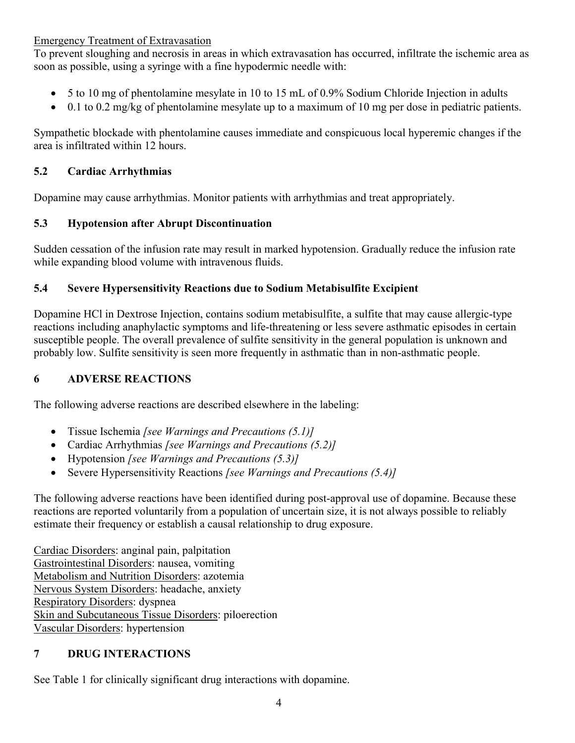#### Emergency Treatment of Extravasation

To prevent sloughing and necrosis in areas in which extravasation has occurred, infiltrate the ischemic area as soon as possible, using a syringe with a fine hypodermic needle with:

- 5 to 10 mg of phentolamine mesylate in 10 to 15 mL of 0.9% Sodium Chloride Injection in adults
- $\bullet$  0.1 to 0.2 mg/kg of phentolamine mesylate up to a maximum of 10 mg per dose in pediatric patients.

Sympathetic blockade with phentolamine causes immediate and conspicuous local hyperemic changes if the area is infiltrated within 12 hours.

## **5.2 Cardiac Arrhythmias**

Dopamine may cause arrhythmias. Monitor patients with arrhythmias and treat appropriately.

## **5.3 Hypotension after Abrupt Discontinuation**

Sudden cessation of the infusion rate may result in marked hypotension. Gradually reduce the infusion rate while expanding blood volume with intravenous fluids.

## **5.4 Severe Hypersensitivity Reactions due to Sodium Metabisulfite Excipient**

Dopamine HCl in Dextrose Injection, contains sodium metabisulfite, a sulfite that may cause allergic-type reactions including anaphylactic symptoms and life-threatening or less severe asthmatic episodes in certain susceptible people. The overall prevalence of sulfite sensitivity in the general population is unknown and probably low. Sulfite sensitivity is seen more frequently in asthmatic than in non-asthmatic people.

# **6 ADVERSE REACTIONS**

The following adverse reactions are described elsewhere in the labeling:

- Tissue Ischemia *[see Warnings and Precautions (5.1)]*
- Cardiac Arrhythmias *[see Warnings and Precautions (5.2)]*
- Hypotension *[see Warnings and Precautions (5.3)]*
- Severe Hypersensitivity Reactions *[see Warnings and Precautions (5.4)]*

The following adverse reactions have been identified during post-approval use of dopamine. Because these reactions are reported voluntarily from a population of uncertain size, it is not always possible to reliably estimate their frequency or establish a causal relationship to drug exposure.

Cardiac Disorders: anginal pain, palpitation Gastrointestinal Disorders: nausea, vomiting Metabolism and Nutrition Disorders: azotemia Nervous System Disorders: headache, anxiety Respiratory Disorders: dyspnea Skin and Subcutaneous Tissue Disorders: piloerection Vascular Disorders: hypertension

# **7 DRUG INTERACTIONS**

See Table 1 for clinically significant drug interactions with dopamine.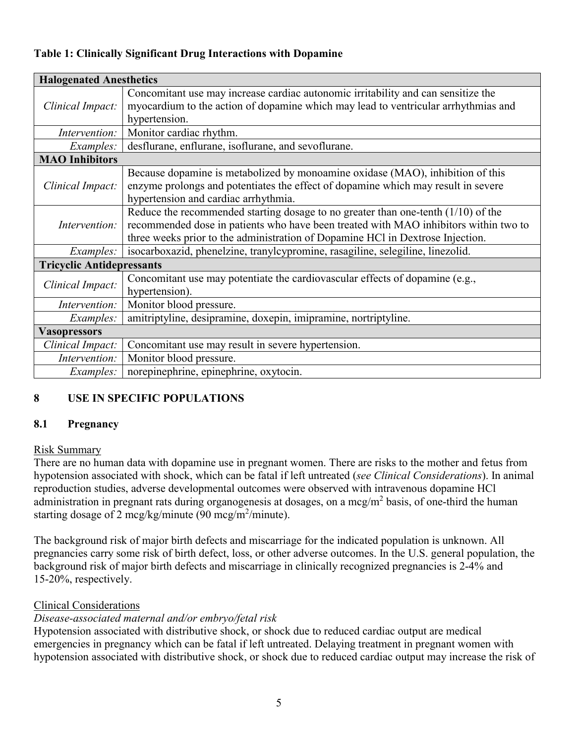#### **Table 1: Clinically Significant Drug Interactions with Dopamine**

| <b>Halogenated Anesthetics</b>   |                                                                                                                                                                                                                                                               |  |
|----------------------------------|---------------------------------------------------------------------------------------------------------------------------------------------------------------------------------------------------------------------------------------------------------------|--|
| Clinical Impact:                 | Concomitant use may increase cardiac autonomic irritability and can sensitize the                                                                                                                                                                             |  |
|                                  | myocardium to the action of dopamine which may lead to ventricular arrhythmias and                                                                                                                                                                            |  |
|                                  | hypertension.                                                                                                                                                                                                                                                 |  |
| <i>Intervention:</i>             | Monitor cardiac rhythm.                                                                                                                                                                                                                                       |  |
| <i>Examples:</i>                 | desflurane, enflurane, isoflurane, and sevoflurane.                                                                                                                                                                                                           |  |
| <b>MAO</b> Inhibitors            |                                                                                                                                                                                                                                                               |  |
| Clinical Impact:                 | Because dopamine is metabolized by monoamine oxidase (MAO), inhibition of this<br>enzyme prolongs and potentiates the effect of dopamine which may result in severe<br>hypertension and cardiac arrhythmia.                                                   |  |
| Intervention:                    | Reduce the recommended starting dosage to no greater than one-tenth $(1/10)$ of the<br>recommended dose in patients who have been treated with MAO inhibitors within two to<br>three weeks prior to the administration of Dopamine HCl in Dextrose Injection. |  |
| <i>Examples:</i>                 | isocarboxazid, phenelzine, tranylcypromine, rasagiline, selegiline, linezolid.                                                                                                                                                                                |  |
| <b>Tricyclic Antidepressants</b> |                                                                                                                                                                                                                                                               |  |
| Clinical Impact:                 | Concomitant use may potentiate the cardiovascular effects of dopamine (e.g.,<br>hypertension).                                                                                                                                                                |  |
| Intervention:                    | Monitor blood pressure.                                                                                                                                                                                                                                       |  |
| <i>Examples:</i>                 | amitriptyline, desipramine, doxepin, imipramine, nortriptyline.                                                                                                                                                                                               |  |
| <b>Vasopressors</b>              |                                                                                                                                                                                                                                                               |  |
| Clinical Impact:                 | Concomitant use may result in severe hypertension.                                                                                                                                                                                                            |  |
| Intervention:                    | Monitor blood pressure.                                                                                                                                                                                                                                       |  |
| <i>Examples:</i>                 | norepinephrine, epinephrine, oxytocin.                                                                                                                                                                                                                        |  |

## **8 USE IN SPECIFIC POPULATIONS**

#### **8.1 Pregnancy**

#### Risk Summary

There are no human data with dopamine use in pregnant women. There are risks to the mother and fetus from hypotension associated with shock, which can be fatal if left untreated (*see Clinical Considerations*). In animal reproduction studies, adverse developmental outcomes were observed with intravenous dopamine HCl administration in pregnant rats during organogenesis at dosages, on a mcg/m<sup>2</sup> basis, of one-third the human starting dosage of 2 mcg/kg/minute (90 mcg/m<sup>2</sup>/minute).

The background risk of major birth defects and miscarriage for the indicated population is unknown. All pregnancies carry some risk of birth defect, loss, or other adverse outcomes. In the U.S. general population, the background risk of major birth defects and miscarriage in clinically recognized pregnancies is 2-4% and 15-20%, respectively.

#### Clinical Considerations

#### *Disease-associated maternal and/or embryo/fetal risk*

Hypotension associated with distributive shock, or shock due to reduced cardiac output are medical emergencies in pregnancy which can be fatal if left untreated. Delaying treatment in pregnant women with hypotension associated with distributive shock, or shock due to reduced cardiac output may increase the risk of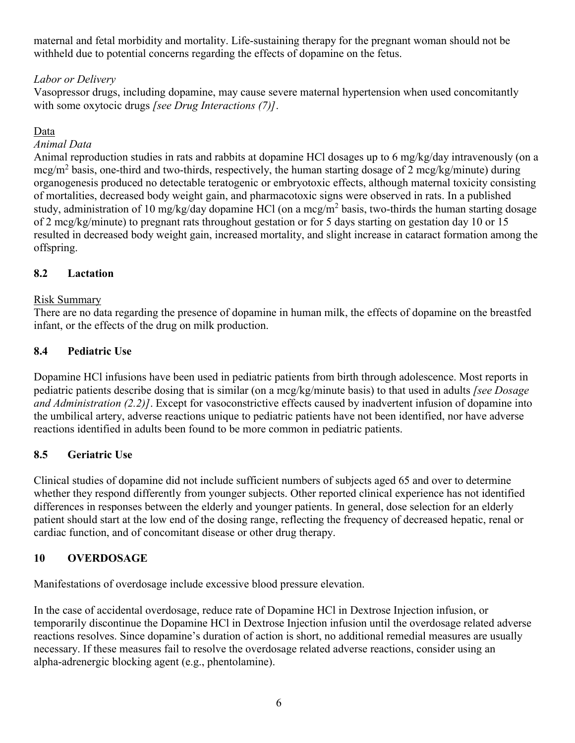maternal and fetal morbidity and mortality. Life-sustaining therapy for the pregnant woman should not be withheld due to potential concerns regarding the effects of dopamine on the fetus.

## *Labor or Delivery*

Vasopressor drugs, including dopamine, may cause severe maternal hypertension when used concomitantly with some oxytocic drugs *[see Drug Interactions (7)]*.

#### Data

#### *Animal Data*

Animal reproduction studies in rats and rabbits at dopamine HCl dosages up to 6 mg/kg/day intravenously (on a  $mcg/m<sup>2</sup>$  basis, one-third and two-thirds, respectively, the human starting dosage of 2 mcg/kg/minute) during organogenesis produced no detectable teratogenic or embryotoxic effects, although maternal toxicity consisting of mortalities, decreased body weight gain, and pharmacotoxic signs were observed in rats. In a published study, administration of 10 mg/kg/day dopamine HCl (on a mcg/m<sup>2</sup> basis, two-thirds the human starting dosage of 2 mcg/kg/minute) to pregnant rats throughout gestation or for 5 days starting on gestation day 10 or 15 resulted in decreased body weight gain, increased mortality, and slight increase in cataract formation among the offspring.

## **8.2 Lactation**

#### Risk Summary

There are no data regarding the presence of dopamine in human milk, the effects of dopamine on the breastfed infant, or the effects of the drug on milk production.

## **8.4 Pediatric Use**

Dopamine HCl infusions have been used in pediatric patients from birth through adolescence. Most reports in pediatric patients describe dosing that is similar (on a mcg/kg/minute basis) to that used in adults *[see Dosage and Administration (2.2)]*. Except for vasoconstrictive effects caused by inadvertent infusion of dopamine into the umbilical artery, adverse reactions unique to pediatric patients have not been identified, nor have adverse reactions identified in adults been found to be more common in pediatric patients.

## **8.5 Geriatric Use**

Clinical studies of dopamine did not include sufficient numbers of subjects aged 65 and over to determine whether they respond differently from younger subjects. Other reported clinical experience has not identified differences in responses between the elderly and younger patients. In general, dose selection for an elderly patient should start at the low end of the dosing range, reflecting the frequency of decreased hepatic, renal or cardiac function, and of concomitant disease or other drug therapy.

## **10 OVERDOSAGE**

Manifestations of overdosage include excessive blood pressure elevation.

In the case of accidental overdosage, reduce rate of Dopamine HCl in Dextrose Injection infusion, or temporarily discontinue the Dopamine HCl in Dextrose Injection infusion until the overdosage related adverse reactions resolves. Since dopamine's duration of action is short, no additional remedial measures are usually necessary. If these measures fail to resolve the overdosage related adverse reactions, consider using an alpha-adrenergic blocking agent (e.g., phentolamine).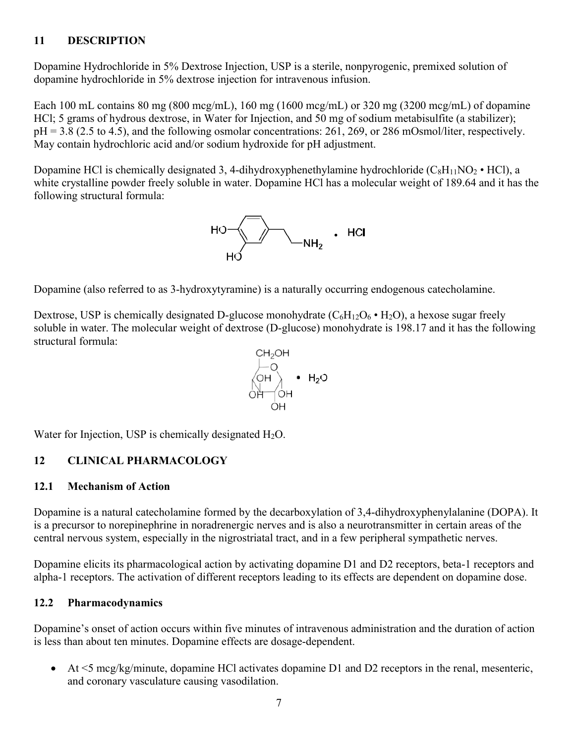## **11 DESCRIPTION**

Dopamine Hydrochloride in 5% Dextrose Injection, USP is a sterile, nonpyrogenic, premixed solution of dopamine hydrochloride in 5% dextrose injection for intravenous infusion.

Each 100 mL contains 80 mg (800 mcg/mL), 160 mg (1600 mcg/mL) or 320 mg (3200 mcg/mL) of dopamine HCl; 5 grams of hydrous dextrose, in Water for Injection, and 50 mg of sodium metabisulfite (a stabilizer);  $pH = 3.8$  (2.5 to 4.5), and the following osmolar concentrations: 261, 269, or 286 mOsmol/liter, respectively. May contain hydrochloric acid and/or sodium hydroxide for pH adjustment.

Dopamine HCl is chemically designated 3, 4-dihydroxyphenethylamine hydrochloride  $(C_8H_{11}NO_2 \cdot HCl)$ , a white crystalline powder freely soluble in water. Dopamine HCl has a molecular weight of 189.64 and it has the following structural formula:

 $HO \left(\frac{1}{\sqrt{N}}\right)$  . HCl

Dopamine (also referred to as 3-hydroxytyramine) is a naturally occurring endogenous catecholamine.

Dextrose, USP is chemically designated D-glucose monohydrate  $(C_6H_{12}O_6 \cdot H_2O)$ , a hexose sugar freely soluble in water. The molecular weight of dextrose (D-glucose) monohydrate is 198.17 and it has the following structural formula:



Water for Injection, USP is chemically designated  $H_2O$ .

#### **12 CLINICAL PHARMACOLOGY**

#### **12.1 Mechanism of Action**

Dopamine is a natural catecholamine formed by the decarboxylation of 3,4-dihydroxyphenylalanine (DOPA). It is a precursor to norepinephrine in noradrenergic nerves and is also a neurotransmitter in certain areas of the central nervous system, especially in the nigrostriatal tract, and in a few peripheral sympathetic nerves.

Dopamine elicits its pharmacological action by activating dopamine D1 and D2 receptors, beta-1 receptors and alpha-1 receptors. The activation of different receptors leading to its effects are dependent on dopamine dose.

#### **12.2 Pharmacodynamics**

Dopamine's onset of action occurs within five minutes of intravenous administration and the duration of action is less than about ten minutes. Dopamine effects are dosage-dependent.

 $\blacktriangleright$  At  $\lt$ 5 mcg/kg/minute, dopamine HCl activates dopamine D1 and D2 receptors in the renal, mesenteric, and coronary vasculature causing vasodilation.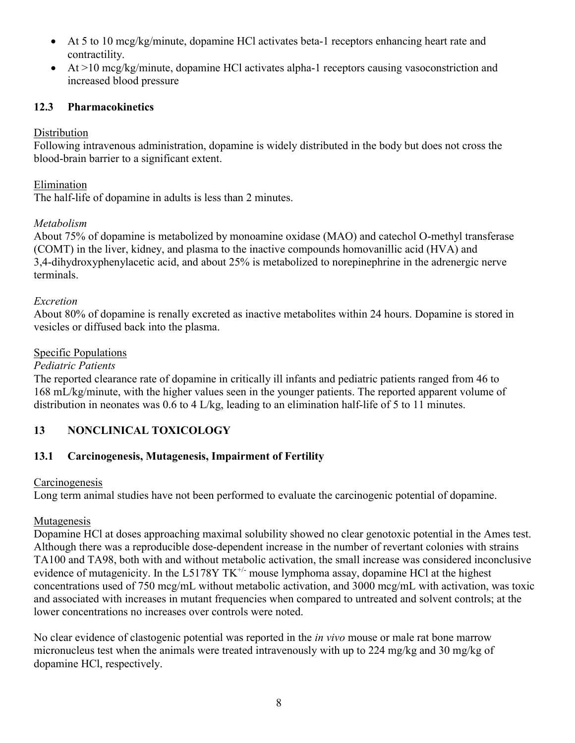- At 5 to 10 mcg/kg/minute, dopamine HCl activates beta-1 receptors enhancing heart rate and contractility.
- At >10 mcg/kg/minute, dopamine HCl activates alpha-1 receptors causing vasoconstriction and increased blood pressure

## **12.3 Pharmacokinetics**

## **Distribution**

Following intravenous administration, dopamine is widely distributed in the body but does not cross the blood-brain barrier to a significant extent.

## Elimination

The half-life of dopamine in adults is less than 2 minutes.

#### *Metabolism*

About 75% of dopamine is metabolized by monoamine oxidase (MAO) and catechol O-methyl transferase (COMT) in the liver, kidney, and plasma to the inactive compounds homovanillic acid (HVA) and 3,4-dihydroxyphenylacetic acid, and about 25% is metabolized to norepinephrine in the adrenergic nerve terminals.

#### *Excretion*

About 80% of dopamine is renally excreted as inactive metabolites within 24 hours. Dopamine is stored in vesicles or diffused back into the plasma.

## Specific Populations

#### *Pediatric Patients*

The reported clearance rate of dopamine in critically ill infants and pediatric patients ranged from 46 to 168 mL/kg/minute, with the higher values seen in the younger patients. The reported apparent volume of distribution in neonates was 0.6 to 4 L/kg, leading to an elimination half-life of 5 to 11 minutes.

# **13 NONCLINICAL TOXICOLOGY**

## **13.1 Carcinogenesis, Mutagenesis, Impairment of Fertility**

#### **Carcinogenesis**

Long term animal studies have not been performed to evaluate the carcinogenic potential of dopamine.

## Mutagenesis

Dopamine HCl at doses approaching maximal solubility showed no clear genotoxic potential in the Ames test. Although there was a reproducible dose-dependent increase in the number of revertant colonies with strains TA100 and TA98, both with and without metabolic activation, the small increase was considered inconclusive evidence of mutagenicity. In the L5178Y  $TK^+$  mouse lymphoma assay, dopamine HCl at the highest concentrations used of 750 mcg/mL without metabolic activation, and 3000 mcg/mL with activation, was toxic and associated with increases in mutant frequencies when compared to untreated and solvent controls; at the lower concentrations no increases over controls were noted.

No clear evidence of clastogenic potential was reported in the *in vivo* mouse or male rat bone marrow micronucleus test when the animals were treated intravenously with up to 224 mg/kg and 30 mg/kg of dopamine HCl, respectively.